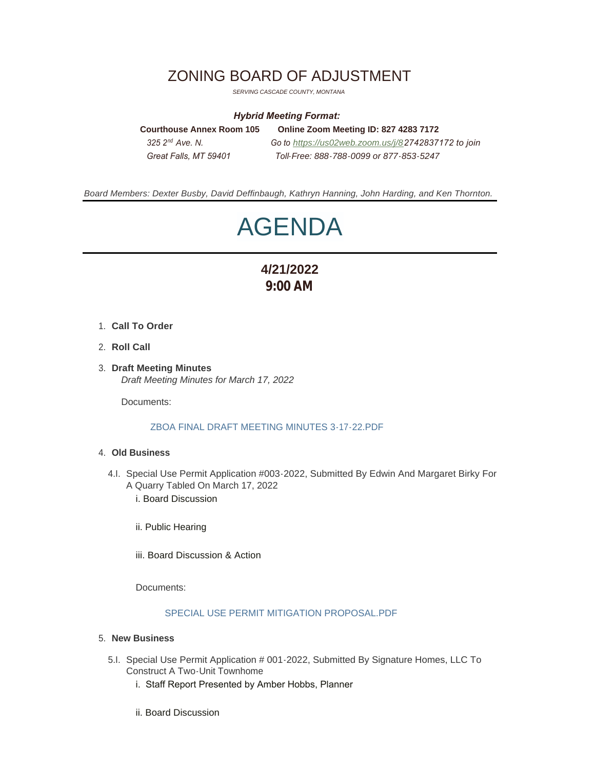# ZONING BOARD OF ADJUSTMENT

*SERVING CASCADE COUNTY, MONTANA*

### *Hybrid Meeting Format:*

**Courthouse Annex Room 105 Online Zoom Meeting ID: 827 4283 7172**  *325 2 Ave. N. Go to [https://us02web.zoom.us/j/8](https://us02web.zoom.us/j/84776106848)2742837172 to join Great Falls, MT 59401 Toll-Free: 888-788-0099 or 877-853-5247* 325.2<sup>nd</sup> Ave N

*Board Members: Dexter Busby, David Deffinbaugh, Kathryn Hanning, John Harding, and Ken Thornton.*

# AGENDA

# **4/21/2022 9:00 AM**

- **Call To Order** 1.
- 2. **Roll Call**
- **Draft Meeting Minutes** 3. *Draft Meeting Minutes for March 17, 2022*

Documents:

# [ZBOA FINAL DRAFT MEETING MINUTES 3-17-22.PDF](https://www.cascadecountymt.gov/AgendaCenter/ViewFile/Item/779?fileID=16549)

#### **Old Business** 4.

- 4.I. Special Use Permit Application #003-2022, Submitted By Edwin And Margaret Birky For A Quarry Tabled On March 17, 2022 i. Board Discussion
	- ii. Public Hearing
	- iii. Board Discussion & Action

Documents:

#### [SPECIAL USE PERMIT MITIGATION PROPOSAL.PDF](https://www.cascadecountymt.gov/AgendaCenter/ViewFile/Item/775?fileID=16527)

#### **New Business** 5.

- 5.I. Special Use Permit Application # 001-2022, Submitted By Signature Homes, LLC To Construct A Two-Unit Townhome
	- i. Staff Report Presented by Amber Hobbs, Planner
	- ii. Board Discussion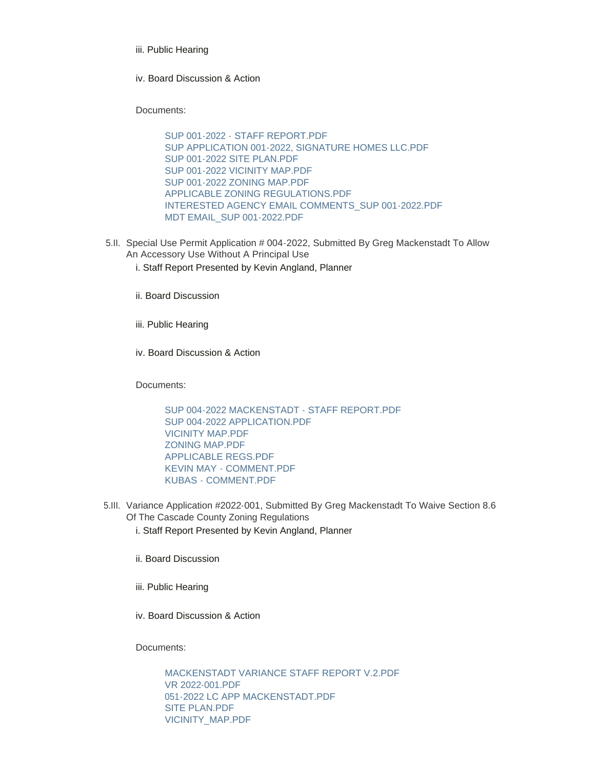- iii. Public Hearing
- iv. Board Discussion & Action

Documents:

[SUP 001-2022 - STAFF REPORT.PDF](https://www.cascadecountymt.gov/AgendaCenter/ViewFile/Item/780?fileID=16550) [SUP APPLICATION 001-2022, SIGNATURE HOMES LLC.PDF](https://www.cascadecountymt.gov/AgendaCenter/ViewFile/Item/780?fileID=16551) [SUP 001-2022 SITE PLAN.PDF](https://www.cascadecountymt.gov/AgendaCenter/ViewFile/Item/780?fileID=16552) [SUP 001-2022 VICINITY MAP.PDF](https://www.cascadecountymt.gov/AgendaCenter/ViewFile/Item/780?fileID=16553) [SUP 001-2022 ZONING MAP.PDF](https://www.cascadecountymt.gov/AgendaCenter/ViewFile/Item/780?fileID=16554) [APPLICABLE ZONING REGULATIONS.PDF](https://www.cascadecountymt.gov/AgendaCenter/ViewFile/Item/780?fileID=16555) [INTERESTED AGENCY EMAIL COMMENTS\\_SUP 001-2022.PDF](https://www.cascadecountymt.gov/AgendaCenter/ViewFile/Item/780?fileID=16556) [MDT EMAIL\\_SUP 001-2022.PDF](https://www.cascadecountymt.gov/AgendaCenter/ViewFile/Item/780?fileID=16557)

- 5.II. Special Use Permit Application # 004-2022, Submitted By Greg Mackenstadt To Allow An Accessory Use Without A Principal Use
	- i. Staff Report Presented by Kevin Angland, Planner
	- ii. Board Discussion
	- iii. Public Hearing
	- iv. Board Discussion & Action

Documents:

[SUP 004-2022 MACKENSTADT - STAFF REPORT.PDF](https://www.cascadecountymt.gov/AgendaCenter/ViewFile/Item/777?fileID=16535) [SUP 004-2022 APPLICATION.PDF](https://www.cascadecountymt.gov/AgendaCenter/ViewFile/Item/777?fileID=16536) [VICINITY MAP.PDF](https://www.cascadecountymt.gov/AgendaCenter/ViewFile/Item/777?fileID=16537) [ZONING MAP.PDF](https://www.cascadecountymt.gov/AgendaCenter/ViewFile/Item/777?fileID=16538) [APPLICABLE REGS.PDF](https://www.cascadecountymt.gov/AgendaCenter/ViewFile/Item/777?fileID=16539) [KEVIN MAY - COMMENT.PDF](https://www.cascadecountymt.gov/AgendaCenter/ViewFile/Item/777?fileID=16540) [KUBAS - COMMENT.PDF](https://www.cascadecountymt.gov/AgendaCenter/ViewFile/Item/777?fileID=16541)

- 5.III. Variance Application #2022-001, Submitted By Greg Mackenstadt To Waive Section 8.6 Of The Cascade County Zoning Regulations
	- i. Staff Report Presented by Kevin Angland, Planner
	- ii. Board Discussion
	- iii. Public Hearing
	- iv. Board Discussion & Action

Documents:

[MACKENSTADT VARIANCE STAFF REPORT V.2.PDF](https://www.cascadecountymt.gov/AgendaCenter/ViewFile/Item/778?fileID=16542) [VR 2022-001.PDF](https://www.cascadecountymt.gov/AgendaCenter/ViewFile/Item/778?fileID=16543) [051-2022 LC APP MACKENSTADT.PDF](https://www.cascadecountymt.gov/AgendaCenter/ViewFile/Item/778?fileID=16544) [SITE PLAN.PDF](https://www.cascadecountymt.gov/AgendaCenter/ViewFile/Item/778?fileID=16545) [VICINITY\\_MAP.PDF](https://www.cascadecountymt.gov/AgendaCenter/ViewFile/Item/778?fileID=16546)